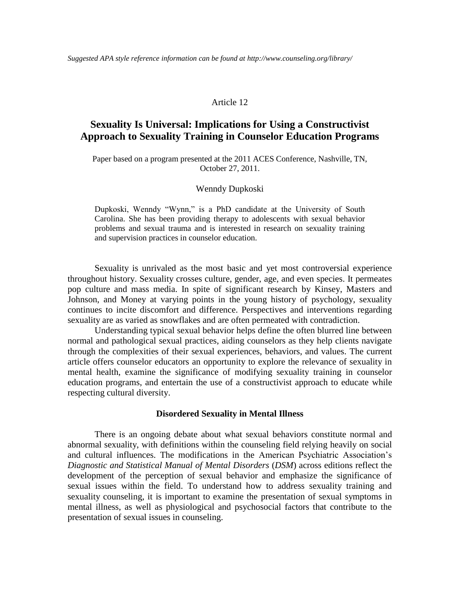#### Article 12

# **Sexuality Is Universal: Implications for Using a Constructivist Approach to Sexuality Training in Counselor Education Programs**

#### Paper based on a program presented at the 2011 ACES Conference, Nashville, TN, October 27, 2011.

#### Wenndy Dupkoski

Dupkoski, Wenndy "Wynn," is a PhD candidate at the University of South Carolina. She has been providing therapy to adolescents with sexual behavior problems and sexual trauma and is interested in research on sexuality training and supervision practices in counselor education.

Sexuality is unrivaled as the most basic and yet most controversial experience throughout history. Sexuality crosses culture, gender, age, and even species. It permeates pop culture and mass media. In spite of significant research by Kinsey, Masters and Johnson, and Money at varying points in the young history of psychology, sexuality continues to incite discomfort and difference. Perspectives and interventions regarding sexuality are as varied as snowflakes and are often permeated with contradiction.

Understanding typical sexual behavior helps define the often blurred line between normal and pathological sexual practices, aiding counselors as they help clients navigate through the complexities of their sexual experiences, behaviors, and values. The current article offers counselor educators an opportunity to explore the relevance of sexuality in mental health, examine the significance of modifying sexuality training in counselor education programs, and entertain the use of a constructivist approach to educate while respecting cultural diversity.

#### **Disordered Sexuality in Mental Illness**

There is an ongoing debate about what sexual behaviors constitute normal and abnormal sexuality, with definitions within the counseling field relying heavily on social and cultural influences. The modifications in the American Psychiatric Association's *Diagnostic and Statistical Manual of Mental Disorders* (*DSM*) across editions reflect the development of the perception of sexual behavior and emphasize the significance of sexual issues within the field. To understand how to address sexuality training and sexuality counseling, it is important to examine the presentation of sexual symptoms in mental illness, as well as physiological and psychosocial factors that contribute to the presentation of sexual issues in counseling.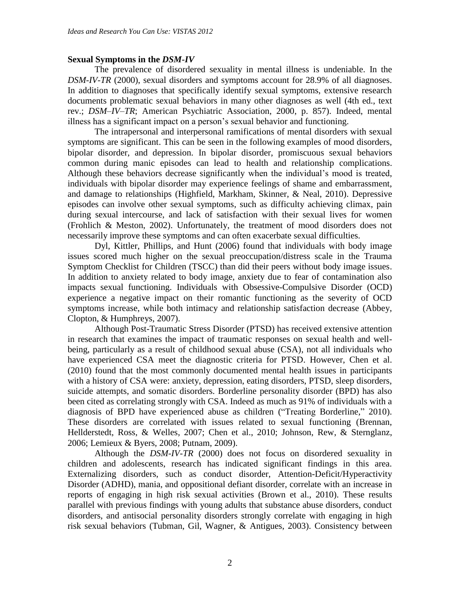#### **Sexual Symptoms in the** *DSM-IV*

The prevalence of disordered sexuality in mental illness is undeniable. In the *DSM-IV-TR* (2000), sexual disorders and symptoms account for 28.9% of all diagnoses. In addition to diagnoses that specifically identify sexual symptoms, extensive research documents problematic sexual behaviors in many other diagnoses as well (4th ed., text rev.; *DSM–IV–TR*; American Psychiatric Association, 2000, p. 857). Indeed, mental illness has a significant impact on a person's sexual behavior and functioning.

The intrapersonal and interpersonal ramifications of mental disorders with sexual symptoms are significant. This can be seen in the following examples of mood disorders, bipolar disorder, and depression. In bipolar disorder, promiscuous sexual behaviors common during manic episodes can lead to health and relationship complications. Although these behaviors decrease significantly when the individual's mood is treated, individuals with bipolar disorder may experience feelings of shame and embarrassment, and damage to relationships (Highfield, Markham, Skinner, & Neal, 2010). Depressive episodes can involve other sexual symptoms, such as difficulty achieving climax, pain during sexual intercourse, and lack of satisfaction with their sexual lives for women (Frohlich & Meston, 2002). Unfortunately, the treatment of mood disorders does not necessarily improve these symptoms and can often exacerbate sexual difficulties.

Dyl, Kittler, Phillips, and Hunt (2006) found that individuals with body image issues scored much higher on the sexual preoccupation/distress scale in the Trauma Symptom Checklist for Children (TSCC) than did their peers without body image issues. In addition to anxiety related to body image, anxiety due to fear of contamination also impacts sexual functioning. Individuals with Obsessive-Compulsive Disorder (OCD) experience a negative impact on their romantic functioning as the severity of OCD symptoms increase, while both intimacy and relationship satisfaction decrease (Abbey, Clopton, & Humphreys, 2007).

Although Post-Traumatic Stress Disorder (PTSD) has received extensive attention in research that examines the impact of traumatic responses on sexual health and wellbeing, particularly as a result of childhood sexual abuse (CSA), not all individuals who have experienced CSA meet the diagnostic criteria for PTSD. However, Chen et al. (2010) found that the most commonly documented mental health issues in participants with a history of CSA were: anxiety, depression, eating disorders, PTSD, sleep disorders, suicide attempts, and somatic disorders. Borderline personality disorder (BPD) has also been cited as correlating strongly with CSA. Indeed as much as 91% of individuals with a diagnosis of BPD have experienced abuse as children ("Treating Borderline," 2010). These disorders are correlated with issues related to sexual functioning (Brennan, Hellderstedt, Ross, & Welles, 2007; Chen et al., 2010; Johnson, Rew, & Sternglanz, 2006; Lemieux & Byers, 2008; Putnam, 2009).

Although the *DSM-IV-TR* (2000) does not focus on disordered sexuality in children and adolescents, research has indicated significant findings in this area. Externalizing disorders, such as conduct disorder, Attention-Deficit/Hyperactivity Disorder (ADHD), mania, and oppositional defiant disorder, correlate with an increase in reports of engaging in high risk sexual activities (Brown et al., 2010). These results parallel with previous findings with young adults that substance abuse disorders, conduct disorders, and antisocial personality disorders strongly correlate with engaging in high risk sexual behaviors (Tubman, Gil, Wagner, & Antigues, 2003). Consistency between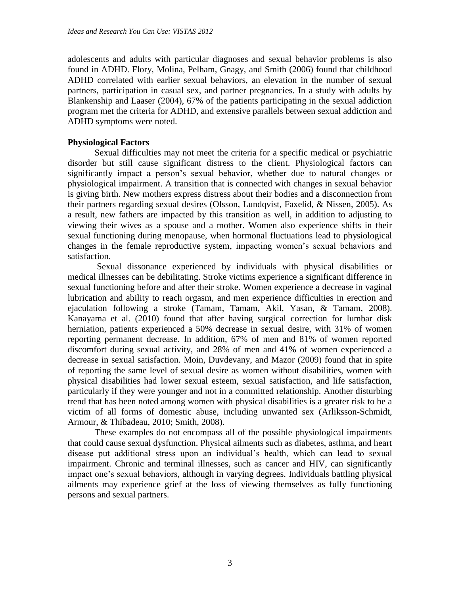adolescents and adults with particular diagnoses and sexual behavior problems is also found in ADHD. Flory, Molina, Pelham, Gnagy, and Smith (2006) found that childhood ADHD correlated with earlier sexual behaviors, an elevation in the number of sexual partners, participation in casual sex, and partner pregnancies. In a study with adults by Blankenship and Laaser (2004), 67% of the patients participating in the sexual addiction program met the criteria for ADHD, and extensive parallels between sexual addiction and ADHD symptoms were noted.

## **Physiological Factors**

Sexual difficulties may not meet the criteria for a specific medical or psychiatric disorder but still cause significant distress to the client. Physiological factors can significantly impact a person's sexual behavior, whether due to natural changes or physiological impairment. A transition that is connected with changes in sexual behavior is giving birth. New mothers express distress about their bodies and a disconnection from their partners regarding sexual desires (Olsson, Lundqvist, Faxelid, & Nissen, 2005). As a result, new fathers are impacted by this transition as well, in addition to adjusting to viewing their wives as a spouse and a mother. Women also experience shifts in their sexual functioning during menopause, when hormonal fluctuations lead to physiological changes in the female reproductive system, impacting women's sexual behaviors and satisfaction.

Sexual dissonance experienced by individuals with physical disabilities or medical illnesses can be debilitating. Stroke victims experience a significant difference in sexual functioning before and after their stroke. Women experience a decrease in vaginal lubrication and ability to reach orgasm, and men experience difficulties in erection and ejaculation following a stroke (Tamam, Tamam, Akil, Yasan, & Tamam, 2008). Kanayama et al. (2010) found that after having surgical correction for lumbar disk herniation, patients experienced a 50% decrease in sexual desire, with 31% of women reporting permanent decrease. In addition, 67% of men and 81% of women reported discomfort during sexual activity, and 28% of men and 41% of women experienced a decrease in sexual satisfaction. Moin, Duvdevany, and Mazor (2009) found that in spite of reporting the same level of sexual desire as women without disabilities, women with physical disabilities had lower sexual esteem, sexual satisfaction, and life satisfaction, particularly if they were younger and not in a committed relationship. Another disturbing trend that has been noted among women with physical disabilities is a greater risk to be a victim of all forms of domestic abuse, including unwanted sex (Arliksson-Schmidt, Armour, & Thibadeau, 2010; Smith, 2008).

These examples do not encompass all of the possible physiological impairments that could cause sexual dysfunction. Physical ailments such as diabetes, asthma, and heart disease put additional stress upon an individual's health, which can lead to sexual impairment. Chronic and terminal illnesses, such as cancer and HIV, can significantly impact one's sexual behaviors, although in varying degrees. Individuals battling physical ailments may experience grief at the loss of viewing themselves as fully functioning persons and sexual partners.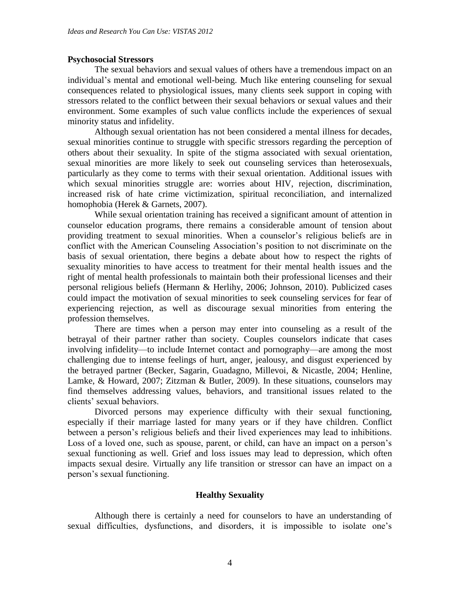#### **Psychosocial Stressors**

The sexual behaviors and sexual values of others have a tremendous impact on an individual's mental and emotional well-being. Much like entering counseling for sexual consequences related to physiological issues, many clients seek support in coping with stressors related to the conflict between their sexual behaviors or sexual values and their environment. Some examples of such value conflicts include the experiences of sexual minority status and infidelity.

Although sexual orientation has not been considered a mental illness for decades, sexual minorities continue to struggle with specific stressors regarding the perception of others about their sexuality. In spite of the stigma associated with sexual orientation, sexual minorities are more likely to seek out counseling services than heterosexuals, particularly as they come to terms with their sexual orientation. Additional issues with which sexual minorities struggle are: worries about HIV, rejection, discrimination, increased risk of hate crime victimization, spiritual reconciliation, and internalized homophobia (Herek & Garnets, 2007).

While sexual orientation training has received a significant amount of attention in counselor education programs, there remains a considerable amount of tension about providing treatment to sexual minorities. When a counselor's religious beliefs are in conflict with the American Counseling Association's position to not discriminate on the basis of sexual orientation, there begins a debate about how to respect the rights of sexuality minorities to have access to treatment for their mental health issues and the right of mental health professionals to maintain both their professional licenses and their personal religious beliefs (Hermann & Herlihy, 2006; Johnson, 2010). Publicized cases could impact the motivation of sexual minorities to seek counseling services for fear of experiencing rejection, as well as discourage sexual minorities from entering the profession themselves.

There are times when a person may enter into counseling as a result of the betrayal of their partner rather than society. Couples counselors indicate that cases involving infidelity—to include Internet contact and pornography—are among the most challenging due to intense feelings of hurt, anger, jealousy, and disgust experienced by the betrayed partner (Becker, Sagarin, Guadagno, Millevoi, & Nicastle, 2004; Henline, Lamke, & Howard, 2007; Zitzman & Butler, 2009). In these situations, counselors may find themselves addressing values, behaviors, and transitional issues related to the clients' sexual behaviors.

Divorced persons may experience difficulty with their sexual functioning, especially if their marriage lasted for many years or if they have children. Conflict between a person's religious beliefs and their lived experiences may lead to inhibitions. Loss of a loved one, such as spouse, parent, or child, can have an impact on a person's sexual functioning as well. Grief and loss issues may lead to depression, which often impacts sexual desire. Virtually any life transition or stressor can have an impact on a person's sexual functioning.

#### **Healthy Sexuality**

Although there is certainly a need for counselors to have an understanding of sexual difficulties, dysfunctions, and disorders, it is impossible to isolate one's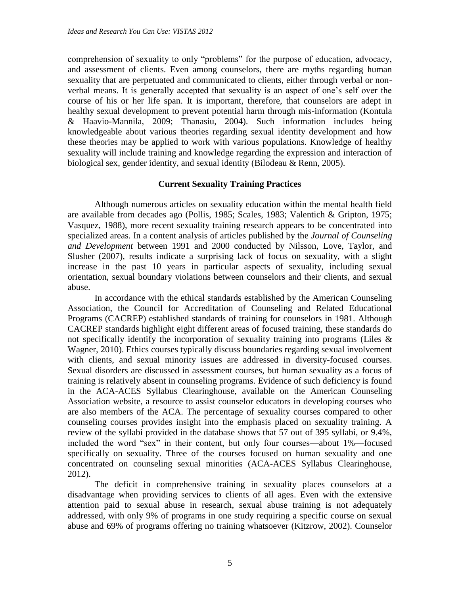comprehension of sexuality to only "problems" for the purpose of education, advocacy, and assessment of clients. Even among counselors, there are myths regarding human sexuality that are perpetuated and communicated to clients, either through verbal or nonverbal means. It is generally accepted that sexuality is an aspect of one's self over the course of his or her life span. It is important, therefore, that counselors are adept in healthy sexual development to prevent potential harm through mis-information (Kontula & Haavio-Mannila, 2009; Thanasiu, 2004). Such information includes being knowledgeable about various theories regarding sexual identity development and how these theories may be applied to work with various populations. Knowledge of healthy sexuality will include training and knowledge regarding the expression and interaction of biological sex, gender identity, and sexual identity (Bilodeau & Renn, 2005).

### **Current Sexuality Training Practices**

Although numerous articles on sexuality education within the mental health field are available from decades ago (Pollis, 1985; Scales, 1983; Valentich & Gripton, 1975; Vasquez, 1988), more recent sexuality training research appears to be concentrated into specialized areas. In a content analysis of articles published by the *Journal of Counseling and Development* between 1991 and 2000 conducted by Nilsson, Love, Taylor, and Slusher (2007), results indicate a surprising lack of focus on sexuality, with a slight increase in the past 10 years in particular aspects of sexuality, including sexual orientation, sexual boundary violations between counselors and their clients, and sexual abuse.

In accordance with the ethical standards established by the American Counseling Association, the Council for Accreditation of Counseling and Related Educational Programs (CACREP) established standards of training for counselors in 1981. Although CACREP standards highlight eight different areas of focused training, these standards do not specifically identify the incorporation of sexuality training into programs (Liles & Wagner, 2010). Ethics courses typically discuss boundaries regarding sexual involvement with clients, and sexual minority issues are addressed in diversity-focused courses. Sexual disorders are discussed in assessment courses, but human sexuality as a focus of training is relatively absent in counseling programs. Evidence of such deficiency is found in the ACA-ACES Syllabus Clearinghouse, available on the American Counseling Association website, a resource to assist counselor educators in developing courses who are also members of the ACA. The percentage of sexuality courses compared to other counseling courses provides insight into the emphasis placed on sexuality training. A review of the syllabi provided in the database shows that 57 out of 395 syllabi, or 9.4%, included the word "sex" in their content, but only four courses—about 1%—focused specifically on sexuality. Three of the courses focused on human sexuality and one concentrated on counseling sexual minorities (ACA-ACES Syllabus Clearinghouse, 2012).

The deficit in comprehensive training in sexuality places counselors at a disadvantage when providing services to clients of all ages. Even with the extensive attention paid to sexual abuse in research, sexual abuse training is not adequately addressed, with only 9% of programs in one study requiring a specific course on sexual abuse and 69% of programs offering no training whatsoever (Kitzrow, 2002). Counselor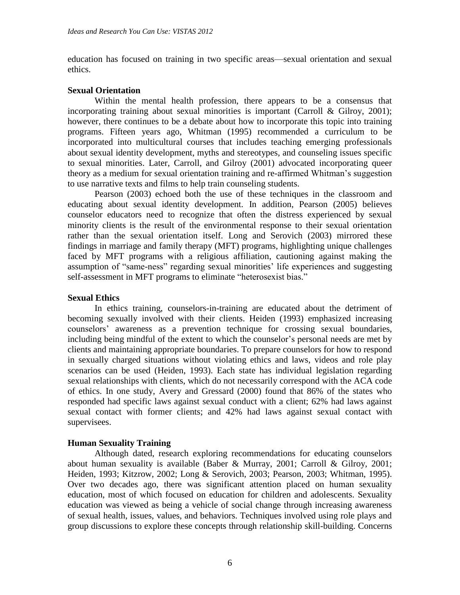education has focused on training in two specific areas—sexual orientation and sexual ethics.

### **Sexual Orientation**

Within the mental health profession, there appears to be a consensus that incorporating training about sexual minorities is important (Carroll & Gilroy, 2001); however, there continues to be a debate about how to incorporate this topic into training programs. Fifteen years ago, Whitman (1995) recommended a curriculum to be incorporated into multicultural courses that includes teaching emerging professionals about sexual identity development, myths and stereotypes, and counseling issues specific to sexual minorities. Later, Carroll, and Gilroy (2001) advocated incorporating queer theory as a medium for sexual orientation training and re-affirmed Whitman's suggestion to use narrative texts and films to help train counseling students.

Pearson (2003) echoed both the use of these techniques in the classroom and educating about sexual identity development. In addition, Pearson (2005) believes counselor educators need to recognize that often the distress experienced by sexual minority clients is the result of the environmental response to their sexual orientation rather than the sexual orientation itself. Long and Serovich (2003) mirrored these findings in marriage and family therapy (MFT) programs, highlighting unique challenges faced by MFT programs with a religious affiliation, cautioning against making the assumption of "same-ness" regarding sexual minorities' life experiences and suggesting self-assessment in MFT programs to eliminate "heterosexist bias."

## **Sexual Ethics**

In ethics training, counselors-in-training are educated about the detriment of becoming sexually involved with their clients. Heiden (1993) emphasized increasing counselors' awareness as a prevention technique for crossing sexual boundaries, including being mindful of the extent to which the counselor's personal needs are met by clients and maintaining appropriate boundaries. To prepare counselors for how to respond in sexually charged situations without violating ethics and laws, videos and role play scenarios can be used (Heiden, 1993). Each state has individual legislation regarding sexual relationships with clients, which do not necessarily correspond with the ACA code of ethics. In one study, Avery and Gressard (2000) found that 86% of the states who responded had specific laws against sexual conduct with a client; 62% had laws against sexual contact with former clients; and 42% had laws against sexual contact with supervisees.

### **Human Sexuality Training**

Although dated, research exploring recommendations for educating counselors about human sexuality is available (Baber & Murray, 2001; Carroll & Gilroy, 2001; Heiden, 1993; Kitzrow, 2002; Long & Serovich, 2003; Pearson, 2003; Whitman, 1995). Over two decades ago, there was significant attention placed on human sexuality education, most of which focused on education for children and adolescents. Sexuality education was viewed as being a vehicle of social change through increasing awareness of sexual health, issues, values, and behaviors. Techniques involved using role plays and group discussions to explore these concepts through relationship skill-building. Concerns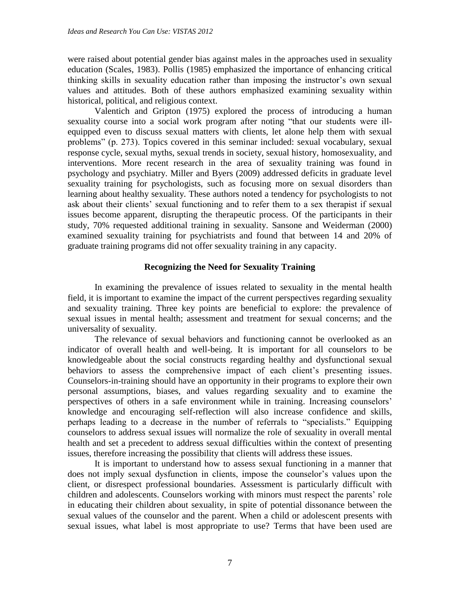were raised about potential gender bias against males in the approaches used in sexuality education (Scales, 1983). Pollis (1985) emphasized the importance of enhancing critical thinking skills in sexuality education rather than imposing the instructor's own sexual values and attitudes. Both of these authors emphasized examining sexuality within historical, political, and religious context.

Valentich and Gripton (1975) explored the process of introducing a human sexuality course into a social work program after noting "that our students were illequipped even to discuss sexual matters with clients, let alone help them with sexual problems" (p. 273). Topics covered in this seminar included: sexual vocabulary, sexual response cycle, sexual myths, sexual trends in society, sexual history, homosexuality, and interventions. More recent research in the area of sexuality training was found in psychology and psychiatry. Miller and Byers (2009) addressed deficits in graduate level sexuality training for psychologists, such as focusing more on sexual disorders than learning about healthy sexuality. These authors noted a tendency for psychologists to not ask about their clients' sexual functioning and to refer them to a sex therapist if sexual issues become apparent, disrupting the therapeutic process. Of the participants in their study, 70% requested additional training in sexuality. Sansone and Weiderman (2000) examined sexuality training for psychiatrists and found that between 14 and 20% of graduate training programs did not offer sexuality training in any capacity.

## **Recognizing the Need for Sexuality Training**

In examining the prevalence of issues related to sexuality in the mental health field, it is important to examine the impact of the current perspectives regarding sexuality and sexuality training. Three key points are beneficial to explore: the prevalence of sexual issues in mental health; assessment and treatment for sexual concerns; and the universality of sexuality.

The relevance of sexual behaviors and functioning cannot be overlooked as an indicator of overall health and well-being. It is important for all counselors to be knowledgeable about the social constructs regarding healthy and dysfunctional sexual behaviors to assess the comprehensive impact of each client's presenting issues. Counselors-in-training should have an opportunity in their programs to explore their own personal assumptions, biases, and values regarding sexuality and to examine the perspectives of others in a safe environment while in training. Increasing counselors' knowledge and encouraging self-reflection will also increase confidence and skills, perhaps leading to a decrease in the number of referrals to "specialists." Equipping counselors to address sexual issues will normalize the role of sexuality in overall mental health and set a precedent to address sexual difficulties within the context of presenting issues, therefore increasing the possibility that clients will address these issues.

It is important to understand how to assess sexual functioning in a manner that does not imply sexual dysfunction in clients, impose the counselor's values upon the client, or disrespect professional boundaries. Assessment is particularly difficult with children and adolescents. Counselors working with minors must respect the parents' role in educating their children about sexuality, in spite of potential dissonance between the sexual values of the counselor and the parent. When a child or adolescent presents with sexual issues, what label is most appropriate to use? Terms that have been used are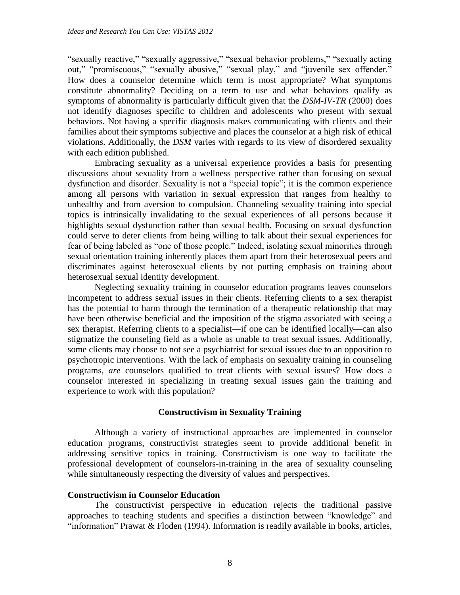"sexually reactive," "sexually aggressive," "sexual behavior problems," "sexually acting out," "promiscuous," "sexually abusive," "sexual play," and "juvenile sex offender." How does a counselor determine which term is most appropriate? What symptoms constitute abnormality? Deciding on a term to use and what behaviors qualify as symptoms of abnormality is particularly difficult given that the *DSM-IV-TR* (2000) does not identify diagnoses specific to children and adolescents who present with sexual behaviors. Not having a specific diagnosis makes communicating with clients and their families about their symptoms subjective and places the counselor at a high risk of ethical violations. Additionally, the *DSM* varies with regards to its view of disordered sexuality with each edition published.

Embracing sexuality as a universal experience provides a basis for presenting discussions about sexuality from a wellness perspective rather than focusing on sexual dysfunction and disorder. Sexuality is not a "special topic"; it is the common experience among all persons with variation in sexual expression that ranges from healthy to unhealthy and from aversion to compulsion. Channeling sexuality training into special topics is intrinsically invalidating to the sexual experiences of all persons because it highlights sexual dysfunction rather than sexual health. Focusing on sexual dysfunction could serve to deter clients from being willing to talk about their sexual experiences for fear of being labeled as "one of those people." Indeed, isolating sexual minorities through sexual orientation training inherently places them apart from their heterosexual peers and discriminates against heterosexual clients by not putting emphasis on training about heterosexual sexual identity development.

Neglecting sexuality training in counselor education programs leaves counselors incompetent to address sexual issues in their clients. Referring clients to a sex therapist has the potential to harm through the termination of a therapeutic relationship that may have been otherwise beneficial and the imposition of the stigma associated with seeing a sex therapist. Referring clients to a specialist—if one can be identified locally—can also stigmatize the counseling field as a whole as unable to treat sexual issues. Additionally, some clients may choose to not see a psychiatrist for sexual issues due to an opposition to psychotropic interventions. With the lack of emphasis on sexuality training in counseling programs, *are* counselors qualified to treat clients with sexual issues? How does a counselor interested in specializing in treating sexual issues gain the training and experience to work with this population?

### **Constructivism in Sexuality Training**

Although a variety of instructional approaches are implemented in counselor education programs, constructivist strategies seem to provide additional benefit in addressing sensitive topics in training. Constructivism is one way to facilitate the professional development of counselors-in-training in the area of sexuality counseling while simultaneously respecting the diversity of values and perspectives.

#### **Constructivism in Counselor Education**

The constructivist perspective in education rejects the traditional passive approaches to teaching students and specifies a distinction between "knowledge" and "information" Prawat & Floden (1994). Information is readily available in books, articles,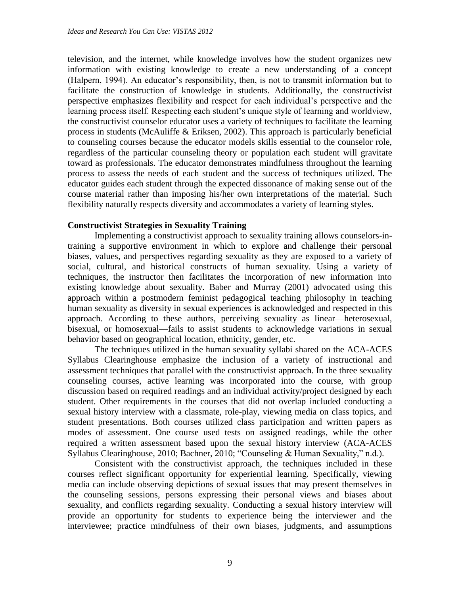television, and the internet, while knowledge involves how the student organizes new information with existing knowledge to create a new understanding of a concept (Halpern, 1994). An educator's responsibility, then, is not to transmit information but to facilitate the construction of knowledge in students. Additionally, the constructivist perspective emphasizes flexibility and respect for each individual's perspective and the learning process itself. Respecting each student's unique style of learning and worldview, the constructivist counselor educator uses a variety of techniques to facilitate the learning process in students (McAuliffe & Eriksen, 2002). This approach is particularly beneficial to counseling courses because the educator models skills essential to the counselor role, regardless of the particular counseling theory or population each student will gravitate toward as professionals. The educator demonstrates mindfulness throughout the learning process to assess the needs of each student and the success of techniques utilized. The educator guides each student through the expected dissonance of making sense out of the course material rather than imposing his/her own interpretations of the material. Such flexibility naturally respects diversity and accommodates a variety of learning styles.

### **Constructivist Strategies in Sexuality Training**

Implementing a constructivist approach to sexuality training allows counselors-intraining a supportive environment in which to explore and challenge their personal biases, values, and perspectives regarding sexuality as they are exposed to a variety of social, cultural, and historical constructs of human sexuality. Using a variety of techniques, the instructor then facilitates the incorporation of new information into existing knowledge about sexuality. Baber and Murray (2001) advocated using this approach within a postmodern feminist pedagogical teaching philosophy in teaching human sexuality as diversity in sexual experiences is acknowledged and respected in this approach. According to these authors, perceiving sexuality as linear—heterosexual, bisexual, or homosexual—fails to assist students to acknowledge variations in sexual behavior based on geographical location, ethnicity, gender, etc.

The techniques utilized in the human sexuality syllabi shared on the ACA-ACES Syllabus Clearinghouse emphasize the inclusion of a variety of instructional and assessment techniques that parallel with the constructivist approach. In the three sexuality counseling courses, active learning was incorporated into the course, with group discussion based on required readings and an individual activity/project designed by each student. Other requirements in the courses that did not overlap included conducting a sexual history interview with a classmate, role-play, viewing media on class topics, and student presentations. Both courses utilized class participation and written papers as modes of assessment. One course used tests on assigned readings, while the other required a written assessment based upon the sexual history interview (ACA-ACES Syllabus Clearinghouse, 2010; Bachner, 2010; "Counseling & Human Sexuality," n.d.).

Consistent with the constructivist approach, the techniques included in these courses reflect significant opportunity for experiential learning. Specifically, viewing media can include observing depictions of sexual issues that may present themselves in the counseling sessions, persons expressing their personal views and biases about sexuality, and conflicts regarding sexuality. Conducting a sexual history interview will provide an opportunity for students to experience being the interviewer and the interviewee; practice mindfulness of their own biases, judgments, and assumptions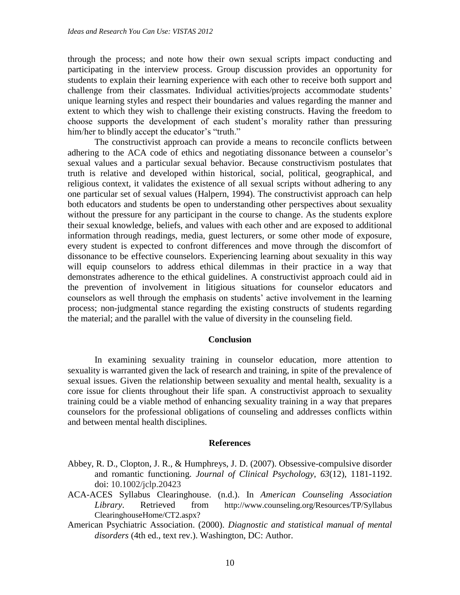through the process; and note how their own sexual scripts impact conducting and participating in the interview process. Group discussion provides an opportunity for students to explain their learning experience with each other to receive both support and challenge from their classmates. Individual activities/projects accommodate students' unique learning styles and respect their boundaries and values regarding the manner and extent to which they wish to challenge their existing constructs. Having the freedom to choose supports the development of each student's morality rather than pressuring him/her to blindly accept the educator's "truth."

The constructivist approach can provide a means to reconcile conflicts between adhering to the ACA code of ethics and negotiating dissonance between a counselor's sexual values and a particular sexual behavior. Because constructivism postulates that truth is relative and developed within historical, social, political, geographical, and religious context, it validates the existence of all sexual scripts without adhering to any one particular set of sexual values (Halpern, 1994). The constructivist approach can help both educators and students be open to understanding other perspectives about sexuality without the pressure for any participant in the course to change. As the students explore their sexual knowledge, beliefs, and values with each other and are exposed to additional information through readings, media, guest lecturers, or some other mode of exposure, every student is expected to confront differences and move through the discomfort of dissonance to be effective counselors. Experiencing learning about sexuality in this way will equip counselors to address ethical dilemmas in their practice in a way that demonstrates adherence to the ethical guidelines. A constructivist approach could aid in the prevention of involvement in litigious situations for counselor educators and counselors as well through the emphasis on students' active involvement in the learning process; non-judgmental stance regarding the existing constructs of students regarding the material; and the parallel with the value of diversity in the counseling field.

#### **Conclusion**

In examining sexuality training in counselor education, more attention to sexuality is warranted given the lack of research and training, in spite of the prevalence of sexual issues. Given the relationship between sexuality and mental health, sexuality is a core issue for clients throughout their life span. A constructivist approach to sexuality training could be a viable method of enhancing sexuality training in a way that prepares counselors for the professional obligations of counseling and addresses conflicts within and between mental health disciplines.

#### **References**

- Abbey, R. D., Clopton, J. R., & Humphreys, J. D. (2007). Obsessive-compulsive disorder and romantic functioning. *Journal of Clinical Psychology*, *63*(12), 1181-1192. doi: 10.1002/jclp.20423
- ACA-ACES Syllabus Clearinghouse. (n.d.). In *American Counseling Association Library*. Retrieved from http://www.counseling.org/Resources/TP/Syllabus ClearinghouseHome/CT2.aspx?
- American Psychiatric Association. (2000). *Diagnostic and statistical manual of mental disorders* (4th ed., text rev.). Washington, DC: Author.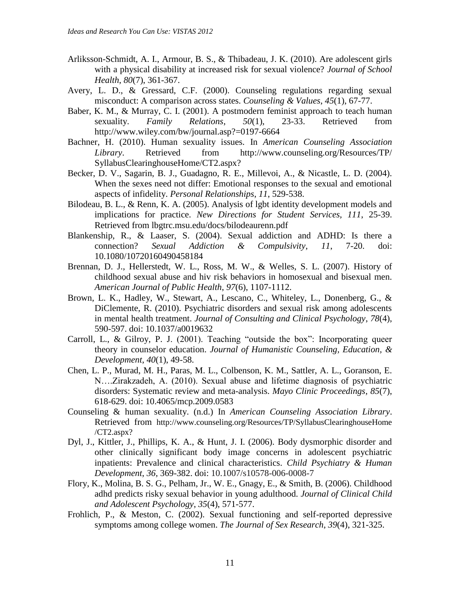- Arliksson-Schmidt, A. I., Armour, B. S., & Thibadeau, J. K. (2010). Are adolescent girls with a physical disability at increased risk for sexual violence? *Journal of School Health*, *80*(7), 361-367.
- Avery, L. D., & Gressard, C.F. (2000). Counseling regulations regarding sexual misconduct: A comparison across states. *Counseling & Values*, *45*(1), 67-77.
- Baber, K. M., & Murray, C. I. (2001). A postmodern feminist approach to teach human sexuality. *Family Relations*, *50*(1), 23-33. Retrieved from http://www.wiley.com/bw/journal.asp?=0197-6664
- Bachner, H. (2010). Human sexuality issues. In *American Counseling Association Library*. Retrieved from http://www.counseling.org/Resources/TP/ SyllabusClearinghouseHome/CT2.aspx?
- Becker, D. V., Sagarin, B. J., Guadagno, R. E., Millevoi, A., & Nicastle, L. D. (2004). When the sexes need not differ: Emotional responses to the sexual and emotional aspects of infidelity. *Personal Relationships*, *11*, 529-538.
- Bilodeau, B. L., & Renn, K. A. (2005). Analysis of lgbt identity development models and implications for practice. *New Directions for Student Services, 111*, 25-39. Retrieved from lbgtrc.msu.edu/docs/bilodeaurenn.pdf
- Blankenship, R., & Laaser, S. (2004). Sexual addiction and ADHD: Is there a connection? *Sexual Addiction & Compulsivity*, *11*, 7-20. doi: 10.1080/10720160490458184
- Brennan, D. J., Hellerstedt, W. L., Ross, M. W., & Welles, S. L. (2007). History of childhood sexual abuse and hiv risk behaviors in homosexual and bisexual men. *American Journal of Public Health*, *97*(6), 1107-1112.
- Brown, L. K., Hadley, W., Stewart, A., Lescano, C., Whiteley, L., Donenberg, G., & DiClemente, R. (2010). Psychiatric disorders and sexual risk among adolescents in mental health treatment. *Journal of Consulting and Clinical Psychology*, *78*(4), 590-597. doi: 10.1037/a0019632
- Carroll, L., & Gilroy, P. J. (2001). Teaching "outside the box": Incorporating queer theory in counselor education. *Journal of Humanistic Counseling, Education, & Development*, *40*(1), 49-58.
- Chen, L. P., Murad, M. H., Paras, M. L., Colbenson, K. M., Sattler, A. L., Goranson, E. N….Zirakzadeh, A. (2010). Sexual abuse and lifetime diagnosis of psychiatric disorders: Systematic review and meta-analysis. *Mayo Clinic Proceedings*, *85*(7), 618-629. doi: 10.4065/mcp.2009.0583
- Counseling & human sexuality. (n.d.) In *American Counseling Association Library*. Retrieved from http://www.counseling.org/Resources/TP/SyllabusClearinghouseHome /CT2.aspx?
- Dyl, J., Kittler, J., Phillips, K. A., & Hunt, J. I. (2006). Body dysmorphic disorder and other clinically significant body image concerns in adolescent psychiatric inpatients: Prevalence and clinical characteristics. *Child Psychiatry & Human Development*, *36*, 369-382. doi: 10.1007/s10578-006-0008-7
- Flory, K., Molina, B. S. G., Pelham, Jr., W. E., Gnagy, E., & Smith, B. (2006). Childhood adhd predicts risky sexual behavior in young adulthood. *Journal of Clinical Child and Adolescent Psychology*, *35*(4), 571-577.
- Frohlich, P., & Meston, C. (2002). Sexual functioning and self-reported depressive symptoms among college women. *The Journal of Sex Research*, *39*(4), 321-325.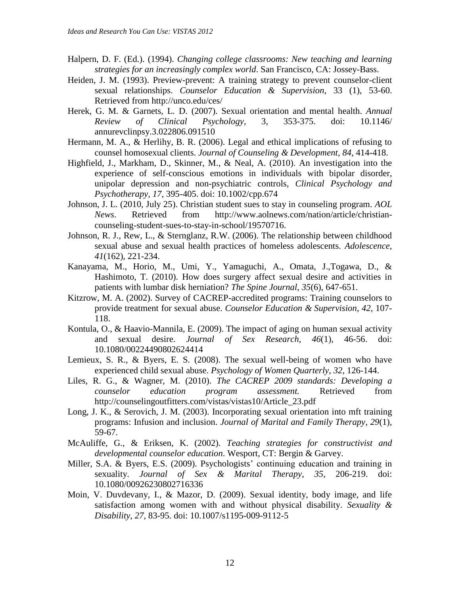- Halpern, D. F. (Ed.). (1994). *Changing college classrooms: New teaching and learning strategies for an increasingly complex world*. San Francisco, CA: Jossey-Bass.
- Heiden, J. M. (1993). Preview-prevent: A training strategy to prevent counselor-client sexual relationships. *Counselor Education & Supervision*, 33 (1), 53-60. Retrieved from http://unco.edu/ces/
- Herek, G. M. & Garnets, L. D. (2007). Sexual orientation and mental health. *Annual Review of Clinical Psychology*, 3, 353-375. doi: 10.1146/ annurevclinpsy.3.022806.091510
- Hermann, M. A., & Herlihy, B. R. (2006). Legal and ethical implications of refusing to counsel homosexual clients. *Journal of Counseling & Development*, *84*, 414-418.
- Highfield, J., Markham, D., Skinner, M., & Neal, A. (2010). An investigation into the experience of self-conscious emotions in individuals with bipolar disorder, unipolar depression and non-psychiatric controls, *Clinical Psychology and Psychotherapy, 17,* 395-405. doi: 10.1002/cpp.674
- Johnson, J. L. (2010, July 25). Christian student sues to stay in counseling program. *AOL News*. Retrieved from http://www.aolnews.com/nation/article/christiancounseling-student-sues-to-stay-in-school/19570716.
- Johnson, R. J., Rew, L., & Sternglanz, R.W. (2006). The relationship between childhood sexual abuse and sexual health practices of homeless adolescents. *Adolescence*, *41*(162), 221-234.
- Kanayama, M., Horio, M., Umi, Y., Yamaguchi, A., Omata, J.,Togawa, D., & Hashimoto, T. (2010). How does surgery affect sexual desire and activities in patients with lumbar disk herniation? *The Spine Journal*, *35*(6), 647-651.
- Kitzrow, M. A. (2002). Survey of CACREP-accredited programs: Training counselors to provide treatment for sexual abuse. *Counselor Education & Supervision*, *42,* 107- 118.
- Kontula, O., & Haavio-Mannila, E. (2009). The impact of aging on human sexual activity and sexual desire. *Journal of Sex Research, 46*(1), 46-56. doi: 10.1080/00224490802624414
- Lemieux, S. R., & Byers, E. S. (2008). The sexual well-being of women who have experienced child sexual abuse. *Psychology of Women Quarterly*, *32*, 126-144.
- Liles, R. G., & Wagner, M. (2010). *The CACREP 2009 standards: Developing a counselor education program assessment.* Retrieved from http://counselingoutfitters.com/vistas/vistas10/Article\_23.pdf
- Long, J. K., & Serovich, J. M. (2003). Incorporating sexual orientation into mft training programs: Infusion and inclusion. *Journal of Marital and Family Therapy*, *29*(1), 59-67.
- McAuliffe, G., & Eriksen, K. (2002). *Teaching strategies for constructivist and developmental counselor education*. Wesport, CT: Bergin & Garvey.
- Miller, S.A. & Byers, E.S. (2009). Psychologists' continuing education and training in sexuality. *Journal of Sex & Marital Therapy*, *35*, 206-219. doi: 10.1080/00926230802716336
- Moin, V. Duvdevany, I., & Mazor, D. (2009). Sexual identity, body image, and life satisfaction among women with and without physical disability. *Sexuality & Disability*, *27*, 83-95. doi: 10.1007/s1195-009-9112-5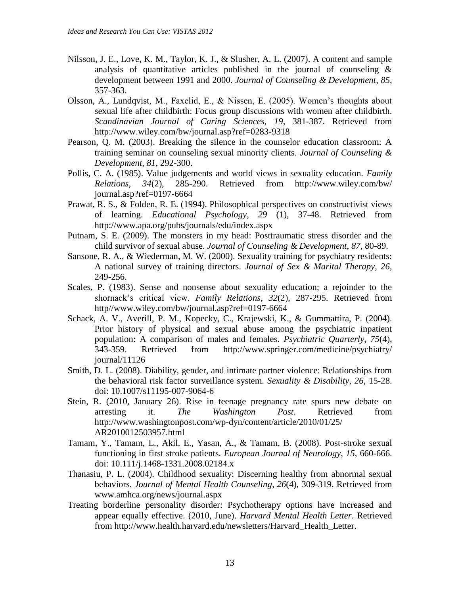- Nilsson, J. E., Love, K. M., Taylor, K. J., & Slusher, A. L. (2007). A content and sample analysis of quantitative articles published in the journal of counseling  $\&$ development between 1991 and 2000. *Journal of Counseling & Development*, *85*, 357-363.
- Olsson, A., Lundqvist, M., Faxelid, E., & Nissen, E. (2005). Women's thoughts about sexual life after childbirth: Focus group discussions with women after childbirth. *Scandinavian Journal of Caring Sciences*, *19*, 381-387. Retrieved from http://www.wiley.com/bw/journal.asp?ref=0283-9318
- Pearson, Q. M. (2003). Breaking the silence in the counselor education classroom: A training seminar on counseling sexual minority clients. *Journal of Counseling & Development*, *81*, 292-300.
- Pollis, C. A. (1985). Value judgements and world views in sexuality education. *Family Relations*, *34*(2), 285-290. Retrieved from http://www.wiley.com/bw/ journal.asp?ref=0197-6664
- Prawat, R. S., & Folden, R. E. (1994). Philosophical perspectives on constructivist views of learning. *Educational Psychology, 29* (1), 37-48. Retrieved from http://www.apa.org/pubs/journals/edu/index.aspx
- Putnam, S. E. (2009). The monsters in my head: Posttraumatic stress disorder and the child survivor of sexual abuse. *Journal of Counseling & Development*, *87*, 80-89.
- Sansone, R. A., & Wiederman, M. W. (2000). Sexuality training for psychiatry residents: A national survey of training directors. *Journal of Sex & Marital Therapy*, *26*, 249-256.
- Scales, P. (1983). Sense and nonsense about sexuality education; a rejoinder to the shornack's critical view. *Family Relations*, *32*(2), 287-295. Retrieved from http//www.wiley.com/bw/journal.asp?ref=0197-6664
- Schack, A. V., Averill, P. M., Kopecky, C., Krajewski, K., & Gummattira, P. (2004). Prior history of physical and sexual abuse among the psychiatric inpatient population: A comparison of males and females. *Psychiatric Quarterly*, *75*(4), 343-359. Retrieved from http://www.springer.com/medicine/psychiatry/ journal/11126
- Smith, D. L. (2008). Diability, gender, and intimate partner violence: Relationships from the behavioral risk factor surveillance system. *Sexuality & Disability*, *26*, 15-28. doi: 10.1007/s11195-007-9064-6
- Stein, R. (2010, January 26). Rise in teenage pregnancy rate spurs new debate on arresting it. *The Washington Post*. Retrieved from http://www.washingtonpost.com/wp-dyn/content/article/2010/01/25/ AR2010012503957.html
- Tamam, Y., Tamam, L., Akil, E., Yasan, A., & Tamam, B. (2008). Post-stroke sexual functioning in first stroke patients. *European Journal of Neurology*, *15*, 660-666. doi: 10.111/j.1468-1331.2008.02184.x
- Thanasiu, P. L. (2004). Childhood sexuality: Discerning healthy from abnormal sexual behaviors. *Journal of Mental Health Counseling, 26*(4), 309-319. Retrieved from www.amhca.org/news/journal.aspx
- Treating borderline personality disorder: Psychotherapy options have increased and appear equally effective. (2010, June). *Harvard Mental Health Letter*. Retrieved from http://www.health.harvard.edu/newsletters/Harvard\_Health\_Letter.